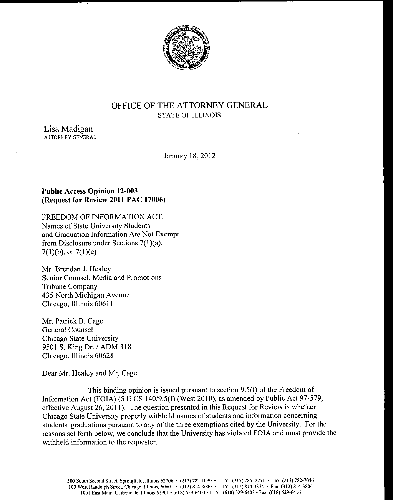

# OFFICE OF THE ATTORNEY GENERAL STATE OF ILLINOIS

Lisa Madigan ATTORNEY GENERAL

January 18, 2012

## Public Access Opinion 12-003 Request for Review 2011 PAC 17006)

FREEDOM OF INFORMATION ACT: Names of State University Students and Graduation Information Are Not Exempt from Disclosure under Sections  $7(1)(a)$ ,  $7(1)(b)$ , or  $7(1)(c)$ 

Mr. Brendan J. Healey Senior Counsel, Media and Promotions Tribune Company 435 North Michigan Avenue Chicago, Illinois 60611

Mr. Patrick B. Cage General Counsel Chicago State University 9501 S. King Dr. / ADM 318 Chicago, Illinois 60628

Dear Mr. Healey and Mr. Cage:

This binding opinion is issued pursuant to section  $9.5(f)$  of the Freedom of Information Act (FOIA) (5 ILCS 140/9.5(f) (West 2010), as amended by Public Act 97-579, effective August 26, 2011). The question presented in this Request for Review is whether Chicago State University properly withheld names of students and information concerning students' graduations pursuant to any of the three exemptions cited by the University. For the reasons set forth below, we conclude that the University has violated FOIA and must provide the withheld information to the requester.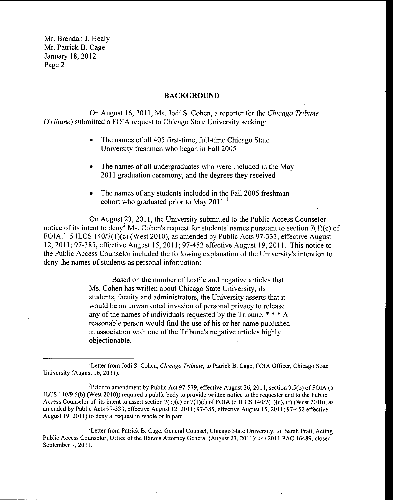## BACKGROUND

On August 16, 2011, Ms. Jodi S. Cohen, a reporter for the Chicago Tribune Tribune) submitted a FOIA request to Chicago State University seeking:

- The names of all 405 first-time, full-time Chicago State University freshmen who began in Fall 2005
- The names of all undergraduates who were included in the May  $\bullet$ 2011 graduation ceremony, and the degrees they received
- The names of any students included in the Fall 2005 freshman cohort who graduated prior to May  $2011$ .<sup>1</sup>

On August 23, 2011, the University submitted to the Public Access Counselor notice of its intent to deny<sup>2</sup> Ms. Cohen's request for students' names pursuant to section  $7(1)(c)$  of FOIA.<sup>3</sup> 5 ILCS 140/7(1)(c) (West 2010), as amended by Public Acts 97-333, effective August 12, 2011; 97- 385, effective August 15, 2011; 97- 452 effective August 19, 2011. This notice to the Public Access Counselor included the following explanation of the University's intention to deny the names of students as personal information:

> Based on the number of hostile and negative articles that Ms. Cohen has written about Chicago State University, its students, faculty and administrators, the University asserts that it would be an unwarranted invasion of personal privacy to release any of the names of individuals requested by the Tribune. \* \* \* A reasonable person would find the use of his or her name published in association with one of the Tribune's negative articles highly objectionable.

<sup>3</sup>Letter from Patrick B. Cage, General Counsel, Chicago State University, to Sarah Pratt, Acting Public Access Counselor, Office of the Illinois Attorney General( August 23, 2011); see 2011 PAC 16489, closed September 7, 2011.

<sup>&</sup>lt;sup>1</sup>Letter from Jodi S. Cohen, Chicago Tribune, to Patrick B. Cage, FOIA Officer, Chicago State University( August 16, 2011).

<sup>&</sup>lt;sup>2</sup>Prior to amendment by Public Act 97-579, effective August 26, 2011, section 9.5(b) of FOIA (5 ILCS 140/9.5(b) (West 2010)) required a public body to provide written notice to the requester and to the Public Access Counselor of its intent to assert section  $7(1)(c)$  or  $7(1)(f)$  of FOIA (5 ILCS 140/7(1)(c), (f) (West 2010), as amended by Public Acts 97-333, effective August 12, 2011; 97-385, effective August 15, 2011; 97-452 effective August 19, 2011) to deny a request in whole or in part.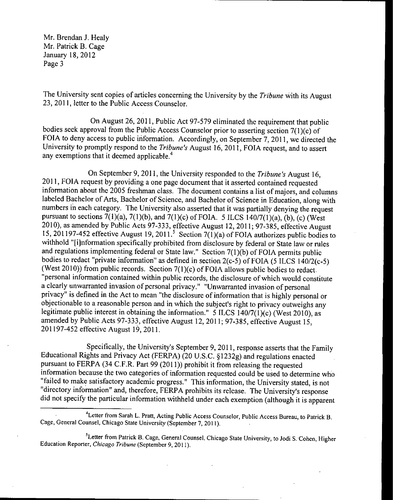The University sent copies of articles concerning the University by the Tribune with its August 23, 2011, letter to the Public Access Counselor.

On August 26, 2011, Public Act 97-579 eliminated the requirement that public bodies seek approval from the Public Access Counselor prior to asserting section  $7(1)(c)$  of FOIA to deny access to public information. Accordingly, on September 7, 2011, we directed the University to promptly respond to the Tribune's August 16, 2011, FOIA request, and to assert any exemptions that it deemed applicable.<sup>4</sup>

On September 9, 2011, the University responded to the *Tribune's* August 16, 2011, FOIA request by providing a one page document that it asserted contained requested information about the 2005 freshman class. The document contains <sup>a</sup> list of majors, and columns labeled Bachelor of Arts, Bachelor of Science, and Bachelor of Science in Education, along with numbers in each category. The University also asserted that it was partially denying the request pursuant to sections  $7(1)(a)$ ,  $7(1)(b)$ , and  $7(1)(c)$  of FOIA. 5 ILCS 140/7(1)(a), (b), (c) (West 2010), as amended by Public Acts 97-333, effective August 12, 2011; 97-385, effective August 15, 201197-452 effective August 19, 2011.<sup>5</sup> Section 7(1)(a) of FOIA authorizes public bodies to withhold "[i]nformation specifically prohibited from disclosure by federal or State law or rules and regulations implementing federal or State law." Section  $7(1)(b)$  of FOIA permits public bodies to redact "private information" as defined in section  $2(c-5)$  of FOIA (5 ILCS 140/2 $(c-5)$ ) (West 2010)) from public records. Section  $7(1)(c)$  of FOIA allows public bodies to redact. personal information contained within public records, the disclosure of which would constitute a clearly unwarranted invasion of personal privacy." " Unwarranted invasion of personal privacy" is defined in the Act to mean " the disclosure of information that is highly personal or objectionable to a reasonable person and in which the subject's right to privacy outweighs any legitimate public interest in obtaining the information."  $5$  ILCS 140/7(1)(c) (West 2010), as amended by Public Acts 97-333, effective August 12, 2011; 97-385, effective August 15, 201197-452 effective August 19, 2011.

Specifically, the University's September 9, 2011, response asserts that the Family Educational Rights and Privacy Act (FERPA) (20 U.S.C. §1232g) and regulations enacted pursuant to FERPA (34 C.F.R. Part 99 (2011)) prohibit it from releasing the requested information because the two categories of information requested could be used to determine who "failed to make satisfactory academic progress." This information, the University stated, is not directory information" and, therefore, FERPA prohibits its release. The University's response did not specify the particular information withheld under each exemption (although it is apparent

Letter from Sarah L. Pratt, Acting Public Access Counselor, Public Access Bureau, to Patrick B. Cage, General Counsel, Chicago State University (September 7, 2011).

<sup>&</sup>lt;sup>5</sup>Letter from Patrick B. Cage, General Counsel. Chicago State University, to Jodi S. Cohen, Higher Education Reporter, Chicago Tribune( September 9, 2011).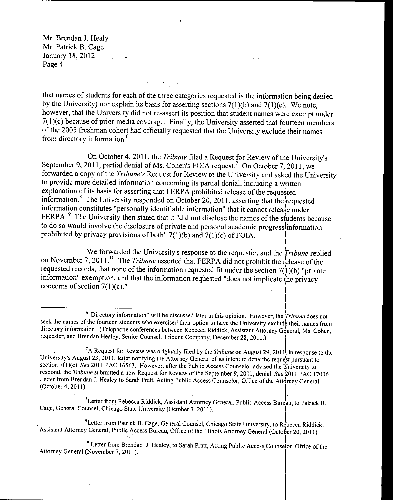that names of students for each of the three categories requested is the information being denied by the University) nor explain its basis for asserting sections  $7(1)(b)$  and  $7(1)(c)$ . We note, however, that the University did not re-assert its position that student names were exempt under 7(1)(c) because of prior media coverage. Finally, the University asserted that fourteen members of the 2005 freshman cohort had officially requested that the University exclude their names from directory information.°

On October 4, 2011, the Tribune filed <sup>a</sup> Request for Review of the University's September 9, 2011, partial denial of Ms. Cohen's FOIA request.<sup>7</sup> On October 7, 2011, we forwarded a copy of the Tribune's Request for Review to the University and asked the University to provide more detailed information concerning its partial denial, including a written explanation of its basis for asserting that FERPA prohibited release of the requested information.<sup>8</sup> The University responded on October 20, 2011, asserting that the requested information constitutes " personally identifiable information" that it cannot release under FERPA.<sup>9</sup> The University then stated that it "did not disclose the names of the students because to do so would involve the disclosure of private and personal academic progress information prohibited by privacy provisions of both"  $7(1)(b)$  and  $7(1)(c)$  of FOIA.

We forwarded the University's response to the requester, and the  $Tribune$  replied on November 7, 2011.<sup>10</sup> The *Tribune* asserted that FERPA did not prohibit the release of the requested records, that none of the information requested fit under the section  $7(1)(b)$  "private information" exemption, and that the information requested " does not implicate the privacy concerns of section  $7(1)(c)$ ."

<sup>8</sup>Letter from Rebecca Riddick, Assistant Attorney General, Public Access Bureau, to Patrick B. Cage, General Counsel, Chicago State University (October 7, 2011).

<sup>9</sup>Letter from Patrick B. Cage, General Counsel, Chicago State University, to Rebecca Riddick, Assistant Attorney General, Public Access Bureau, Office of the Illinois Attorney General (October 20, 2011).

<sup>10</sup> Letter from Brendan J. Healey, to Sarah Pratt, Acting Public Access Counselor, Office of the Attorney General (November 7, 2011).

 $e^{i\theta}$ " Directory information" will be discussed later in this opinion. However, the *Tribune* does not seek the names of the fourteen students who exercised their option to have the University exclude their names from directory information. (Telephone conferences between Rebecca Riddick, Assistant Attorney General, Ms. Cohen, requester, and Brendan Healey, Senior Counsel, Tribune Company, December 28, 2011.)

<sup>&</sup>lt;sup>7</sup>A Request for Review was originally filed by the *Tribune* on August 29, 2011, in response to the University's August 23, 2011, letter notifying the Attorney General of its intent to deny the request pursuant to section 7(1)(c). See 2011 PAC 16563. However, after the Public Access Counselor advised the University to respond, the Tribune submitted a new Request for Review of the September 9, 2011, denial. See 2011 PAC 17006. Letter from Brendan J. Healey to Sarah Pratt, Acting Public Access Counselor, Office of the Attorney General October 4, 2011).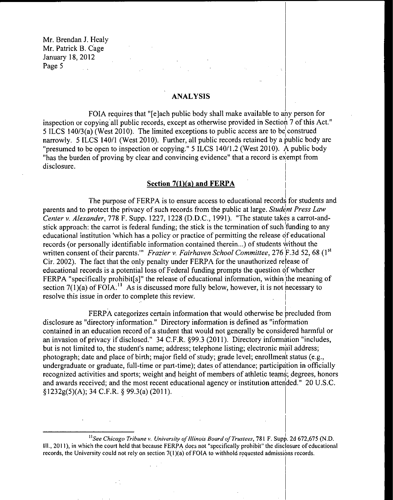## ANALYSIS

FOIA requires that "[e] ach public body shall make available to any person for inspection or copying all public records, except as otherwise provided in Section 7 of this Act.' 5 ILCS 140/3(a) (West 2010). The limited exceptions to public access are to be construed narrowly. 5 ILCS 140/1 (West 2010). Further, all public records retained by a public body are "presumed to be open to inspection or copying." 5 ILCS 140/1.2 (West 2010). A public body has the burden of proving by clear and convincing evidence" that <sup>a</sup> record is exempt from disclosure.

#### Section  $7(1)(a)$  and FERPA

The purpose of FERPA is to ensure access to educational records for students and parents and to protect the privacy of such records from the public at large. Student Press Law Center v. Alexander, 778 F. Supp. 1227, 1228 (D.D.C., 1991). "The statute takes a carrot-andstick approach: the carrot is federal funding; the stick is the termination of such funding to any educational institution 'which has a policy or practice of permitting the release of educational records (or personally identifiable information contained therein...) of students without the written consent of their parents." Frazier v. Fairhaven School Committee, 276 F.3d 52, 68 (1st Cir. 2002). The fact that the only penalty under FERPA for the unauthorized release of educational records is a potential loss of Federal funding prompts the question of whether FERPA "specifically prohibit[s]" the release of educational information, within the meaning of section 7(1)(a) of FOIA.<sup>11</sup> As is discussed more fully below, however, it is not necessary to resolve this issue in order to complete this review.

FERPA categorizes certain information that would otherwise be precluded from disclosure as "directory information." Directory information is defined as "information contained in an education record of <sup>a</sup> student that would not generally be considered harmful or an invasion of privacy if disclosed." 34 C.F.R. §99.3 (2011). Directory information "includes, but is not limited to, the student's name; address; telephone listing; electronic mail address; photograph; date and place of birth; major field of study; grade level; enrollment status (e.g., undergraduate or graduate, full-time or part-time); dates of attendance; participation in officially recognized activities and sports; weight and height of members of athletic teams; degrees, honors and awards received; and the most recent educational agency or institution attended." 20 U.S.C. §1232g(5)(A); 34 C.F.R. § 99.3(a) (2011).

<sup>11</sup>See Chicago Tribune v. University of Illinois Board of Trustees, 781 F. Supp. 2d 672,675 (N.D. III., 2011), in which the court held that because FERPA does not" specifically prohibit" the disclosure of educational records, the University could not rely on section  $7(1)(a)$  of FOIA to withhold requested admissions records.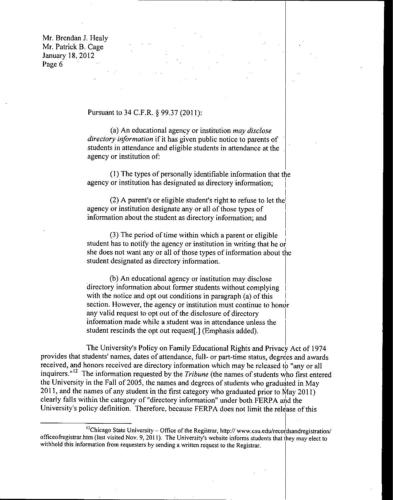## Pursuant to 34 C.F.R. § 99.37 (2011):

a) An educational agency or institution may disclose directory information if it has given public notice to parents of students in attendance and eligible students in attendance at the agency or institution of:

1) The types of personally identifiable information that the agency or institution has designated as directory information;

(2) A parent's or eligible student's right to refuse to let the agency or institution designate any or all of those types of information about the student as directory information; and

3) The period of time within which <sup>a</sup> parent or eligible student has to notify the agency or institution in writing that he or she does not want any or all of those types of information about the student designated as directory information.

b) An educational agency or institution may disclose directory information about former students without complying with the notice and opt out conditions in paragraph  $(a)$  of this section. However, the agency or institution must continue to honor any valid request to opt out of the disclosure of directory information made while a student was in attendance unless the student rescinds the opt out request[.] ( Emphasis added).

The University's Policy on Family Educational Rights and Privacy Act of 1974 provides that students' names, dates of attendance, full- or part-time status, degrees and awards received, and honors received are directory information which may be released to "any or all inquirers."<sup>12</sup> The information requested by the Tribune (the names of students who first entered the University in the Fall of 2005, the names and degrees of students who graduated in May 2011, and the names of any student in the first category who graduated prior to May 2011) clearly falls within the category of" directory information" under both FERPA and the University's policy definition. Therefore, because FERPA does not limit the release of this

<sup>&</sup>lt;sup>12</sup>Chicago State University – Office of the Registrar, http:// www.csu.edu/recordsandregistration/ officeofregistrar.htm (last visited Nov. 9, 2011). The University's website informs students that they may elect to withhold this information from requesters by sending <sup>a</sup> written request to the Registrar.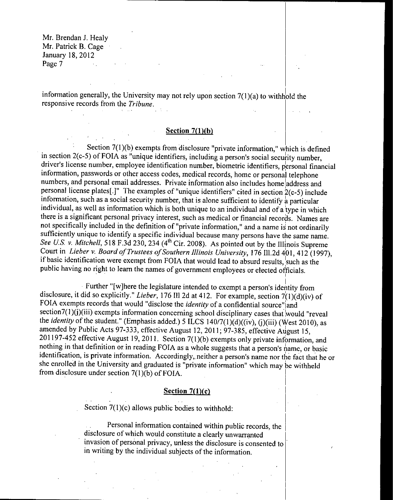information generally, the University may not rely upon section  $7(1)(a)$  to withhold the responsive records from the Tribune.

## Section  $7(1)(b)$

Section  $7(1)(b)$  exempts from disclosure "private information," which is defined in section  $2(c-5)$  of FOIA as "unique identifiers, including a person's social security number, driver's license number, employee identification number, biometric identifiers, personal financial information, passwords or other access codes, medical records, home or personal telephone numbers, and personal email addresses. Private information also includes home address and personal license plates[.]" The examples of "unique identifiers" cited in section  $2(c-5)$  include information, such as a social security number, that is alone sufficient to identify a particular individual, as well as information which is both unique to an individual and of a type in which there is a significant personal privacy interest, such as medical or financial records. Names are not specifically included in the definition of" private information," and a name is not ordinarily sufficiently unique to identify a specific individual because many persons have the same name. See U.S. v. Mitchell, 518 F.3d 230, 234 (4<sup>th</sup> Cir. 2008). As pointed out by the Illinois Supreme Court in Lieber v. Board of Trustees of Southern Illinois University, 176 Ill.2d 401, 412 (1997), if basic identification were exempt from FOIA that would lead to absurd results, such as the public having no right to learn the names of government employees or elected officials.

Further "[ w] here the legislature intended to exempt <sup>a</sup> person's identity from disclosure, it did so explicitly." Lieber, 176 Ill 2d at 412. For example, section  $7(1)(d)(iv)$  of FOIA exempts records that would "disclose the *identity* of a confidential source" and section7(1)( $j$ )(iii) exempts information concerning school disciplinary cases that would "reveal the *identity* of the student." (Emphasis added.) 5 ILCS  $140/7(1)(d)((iv), (j)(iii)$  (West 2010), as amended by Public Acts 97-333, effective August 12, 2011; 97-385, effective August 15, 201197-452 effective August 19, 2011. Section 7(1)(b) exempts only private information, and nothing in that definition or in reading FOIA as a whole suggests that a person's name, or basic identification, is private information. Accordingly, neither a person's name nor the fact that he or she enrolled in the University and graduated is " private information" which may be withheld from disclosure under section  $7(1)(b)$  of FOIA.

## Section  $7(1)(c)$

Section  $7(1)(c)$  allows public bodies to withhold:

Personal information contained within public records, the disclosure of which would constitute a clearly unwarranted invasion of personal privacy, unless the disclosure is consented to in writing by the individual subjects of the information.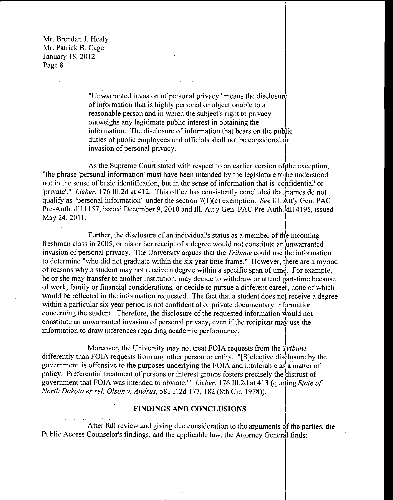> Unwarranted invasion of personal privacy" means the disclosure of information that is highly personal or objectionable to <sup>a</sup> reasonable person and in which the subject's right to privacy outweighs any legitimate public interest in obtaining the information. The disclosure of information that bears on the public duties of public employees and officials shall not be considered an invasion of personal privacy.

As the Supreme Court stated with respect to an earlier version of the exception, "the phrase 'personal information' must have been intended by the legislature to be understood not in the sense of basic identification, but in the sense of information that is 'confidential' or 'private'." Lieber, 176 Ill.2d at 412. This office has consistently concluded that names do not qualify as "personal information" under the section  $7(1)(c)$  exemption. See III. Att'y Gen. PAC Pre-Auth. dl11157, issued December 9, 2010 and Ill. Att'y Gen. PAC Pre-Auth. 1dl14195, issued May 24, 2011.

Further, the disclosure of an individual's status as <sup>a</sup> member of the incoming freshman class in 2005, or his or her receipt of a degree would not constitute an unwarranted invasion of personal privacy. The University argues that the Tribune could use the information to determine " who did not graduate within the six year time frame." However, there are a myriad of reasons why <sup>a</sup> student may not receive <sup>a</sup> degree within <sup>a</sup> specific span of time. For example, he or she may transfer to another institution, may decide to withdraw or attend part-time because of work, family or financial considerations, or decide to pursue <sup>a</sup> different career, none of which would be reflected in the information requested. The fact that a student does not receive a degree within a particular six year period is not confidential or private documentary information concerning the student. Therefore, the disclosure of the requested information would not constitute an unwarranted invasion of personal privacy, even if the recipient may use the information to draw inferences regarding academic performance.

Moreover, the University may not treat FOIA requests from the Tribune differently than FOIA requests from any other person or entity. "[S] elective disclosure by the government 'is' offensive to the purposes underlying the FOIA and intolerable as <sup>a</sup> matter of policy. Preferential treatment of persons or interest groups fosters precisely the distrust of government that FOIA was intended to obviate." Lieber, 176 Ill.2d at 413 (quoting State of North Dakota ex rel. Olson v. Andrus, 581 F.2d 177, 182 (8th Cir. 1978)).

## FINDINGS AND CONCLUSIONS

After full review and giving due consideration to the arguments of the parties, the Public Access Counselor's findings, and the applicable law, the Attorney General finds: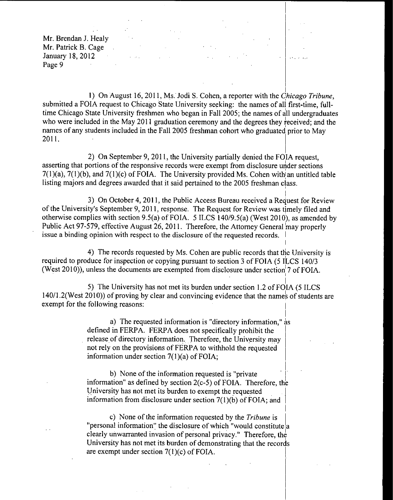1) On August 16, 2011, Ms. Jodi S. Cohen, a reporter with the Chicago Tribune, submitted <sup>a</sup> FOIA request to Chicago State University seeking: the names of all first-time, fulltime Chicago State University freshmen who began in Fall 2005; the names of all undergraduates who were included in the May 2011 graduation ceremony and the degrees they received; and the names of any students included in the Fall 2005 freshman cohort who graduated prior to May 2011.

 $\frac{1}{2} \left( \frac{1}{2} \right)$  ,  $\frac{1}{2} \left( \frac{1}{2} \right)$ 

 $\mathcal{L}^{\text{c}}$  and  $\mathcal{L}^{\text{c}}$ 

2) On September 9, 2011, the University partially denied the FOIA request, asserting that portions of the responsive records were exempt from disclosure under sections  $7(1)(a)$ ,  $7(1)(b)$ , and  $7(1)(c)$  of FOIA. The University provided Ms. Cohen with an untitled table listing majors and degrees awarded that it said pertained to the 2005 freshman class.

3) On October 4, 2011, the Public Access Bureau received a Request for Review of the University's September 9, 2011, response. The Request for Review was timely filed and otherwise complies with section 9.5(a) of FOIA. 5 ILCS 140/9.5(a) (West 2010), as amended by Public Act 97-579, effective August 26, 2011. Therefore, the Attorney General may properly issue <sup>a</sup> binding opinion with respect to the disclosure of the requested records. I

4) The records requested by Ms. Cohen are public records that the University is required to produce for inspection or copying pursuant to section 3 of FOIA (5 ILCS 140/3 (West 2010)), unless the documents are exempted from disclosure under section 7 of FOIA.

5) The University has not met its burden under section 1.2 of FOIA (5 ILCS 140/1.2(West 2010)) of proving by clear and convincing evidence that the names of students are exempt for the following reasons:

> a) The requested information is "directory information,"  $\dot{a}$ s defined in FERPA. FERPA does not specifically prohibit the release of directory information. Therefore, the University may not rely on the provisions of FERPA to withhold the requested information under section  $7(1)(a)$  of FOIA;

b) None of the information requested is " private information" as defined by section  $2(c-5)$  of FOIA. Therefore, the University has not met its burden to exempt the requested information from disclosure under section  $7(1)(b)$  of FOIA; and

c) None of the information requested by the Tribune is "personal information" the disclosure of which "would constitute  $|a|$ clearly unwarranted invasion of personal privacy." Therefore, the University has not met its burden of demonstrating that the records are exempt under section  $7(1)(c)$  of FOIA.